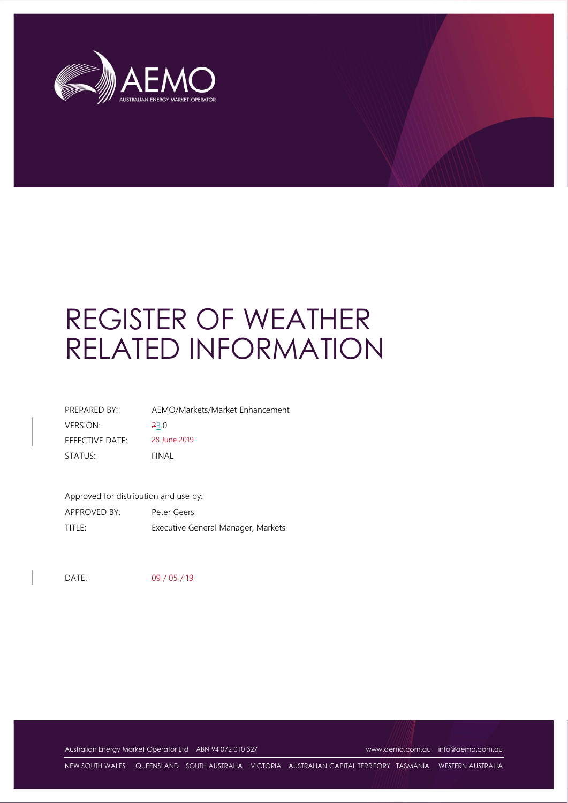

# REGISTER OF WEATHER RELATED INFORMATION

| PREPARED BY:    | AEMO/Markets/Market Enhancement |
|-----------------|---------------------------------|
| <b>VERSION:</b> | <b>23.0</b>                     |
| EFFECTIVE DATE: | 28 June 2019                    |
| STATUS:         | FINAL                           |

Approved for distribution and use by:

| APPROVED BY: | Peter Geers                        |
|--------------|------------------------------------|
| title:       | Executive General Manager, Markets |

DATE: 09 / 05 / 19

Australian Energy Market Operator Ltd ABN 94 072 010 327 www.aemo.com.au info@aemo.com.au

NEW SOUTH WALES QUEENSLAND SOUTH AUSTRALIA VICTORIA AUSTRALIAN CAPITAL TERRITORY TASMANIA WESTERN AUSTRALIA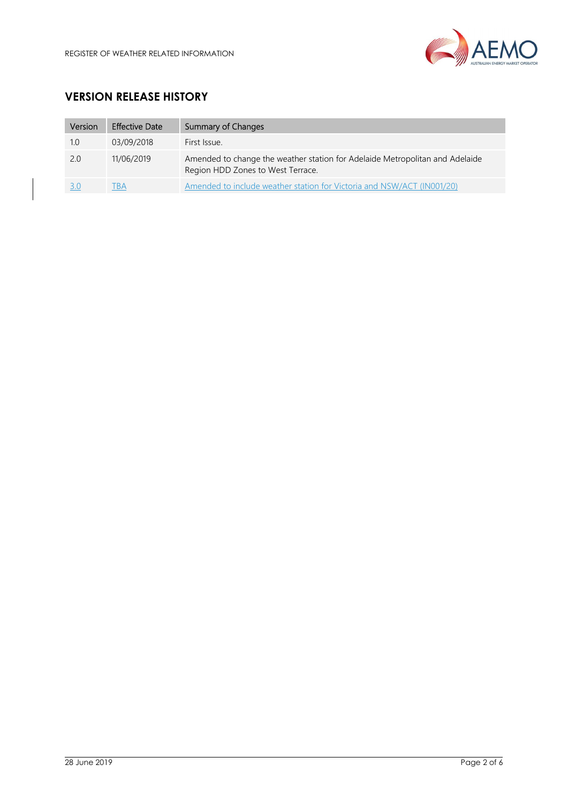

# VERSION RELEASE HISTORY

| Version | <b>Effective Date</b> | <b>Summary of Changes</b>                                                                                         |
|---------|-----------------------|-------------------------------------------------------------------------------------------------------------------|
| 1.0     | 03/09/2018            | First Issue.                                                                                                      |
| 2.0     | 11/06/2019            | Amended to change the weather station for Adelaide Metropolitan and Adelaide<br>Region HDD Zones to West Terrace. |
|         |                       | Amended to include weather station for Victoria and NSW/ACT (IN001/20)                                            |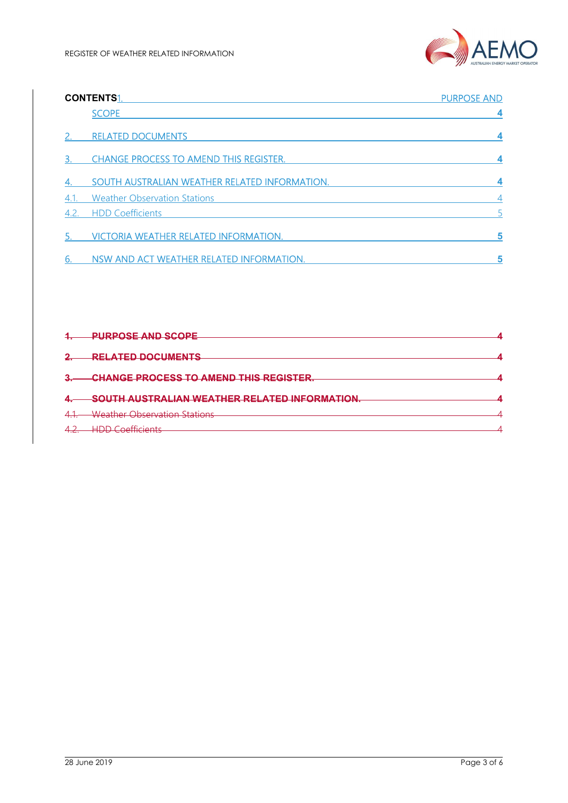

|      | <b>CONTENTS1.</b>                             | <b>PURPOSE AND</b> |
|------|-----------------------------------------------|--------------------|
|      | <b>SCOPE</b>                                  |                    |
|      | <b>RELATED DOCUMENTS</b>                      |                    |
|      | <b>CHANGE PROCESS TO AMEND THIS REGISTER.</b> |                    |
|      | SOUTH AUSTRALIAN WEATHER RELATED INFORMATION. |                    |
| 4.1. | <b>Weather Observation Stations</b>           | $\overline{4}$     |
| 4.2. | <b>HDD Coefficients</b>                       |                    |
|      | <b>VICTORIA WEATHER RELATED INFORMATION.</b>  | 5                  |
|      | NSW AND ACT WEATHER RELATED INFORMATION.      | 5                  |

| <b>PURPOSE AND SCOPE</b>                     |  |
|----------------------------------------------|--|
|                                              |  |
| <b>RELATED DOCUMENTS</b>                     |  |
|                                              |  |
| <b>CHANGE PROCESS TO AMEND THIS REGISTER</b> |  |
|                                              |  |
| SOUTH AUSTRALIAN WEATHER RELATED INFORMATION |  |
|                                              |  |
| <b>Weather Observation Stations</b>          |  |
|                                              |  |
| $LIDD$ Coofficiants                          |  |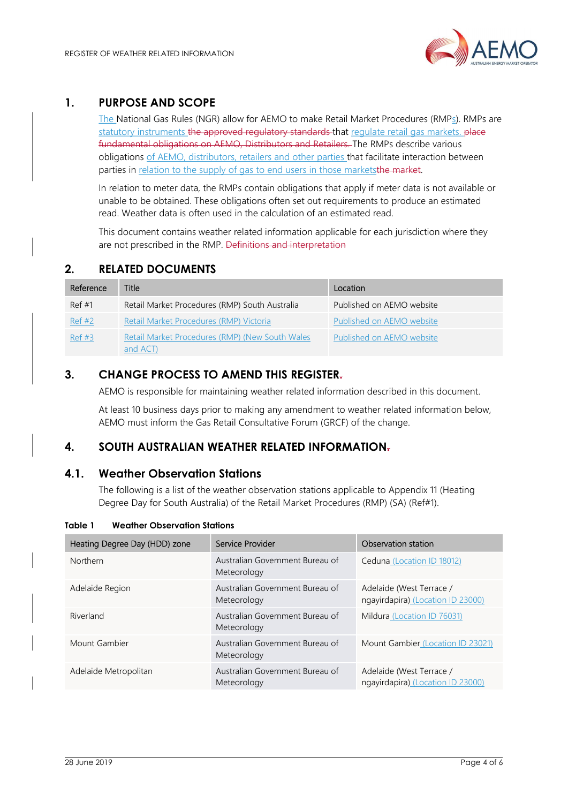## 1. PURPOSE AND SCOPE

The National Gas Rules (NGR) allow for AEMO to make Retail Market Procedures (RMP<sub>S</sub>). RMPs are statutory instruments the approved regulatory standards that regulate retail gas markets. place fundamental obligations on AEMO, Distributors and Retailers. The RMPs describe various obligations of AEMO, distributors, retailers and other parties that facilitate interaction between parties in relation to the supply of gas to end users in those marketsthe market.

In relation to meter data, the RMPs contain obligations that apply if meter data is not available or unable to be obtained. These obligations often set out requirements to produce an estimated read. Weather data is often used in the calculation of an estimated read.

This document contains weather related information applicable for each jurisdiction where they are not prescribed in the RMP. Definitions and interpretation

## 2. RELATED DOCUMENTS

| Reference | <b>Title</b>                                                | Location                  |
|-----------|-------------------------------------------------------------|---------------------------|
| Ref#1     | Retail Market Procedures (RMP) South Australia              | Published on AEMO website |
| Ref #2    | Retail Market Procedures (RMP) Victoria                     | Published on AEMO website |
| Ref #3    | Retail Market Procedures (RMP) (New South Wales<br>and ACT) | Published on AEMO website |

## 3. CHANGE PROCESS TO AMEND THIS REGISTER.

AEMO is responsible for maintaining weather related information described in this document.

At least 10 business days prior to making any amendment to weather related information below, AEMO must inform the Gas Retail Consultative Forum (GRCF) of the change.

## 4. SOUTH AUSTRALIAN WEATHER RELATED INFORMATION.

#### 4.1. Weather Observation Stations

The following is a list of the weather observation stations applicable to Appendix 11 (Heating Degree Day for South Australia) of the Retail Market Procedures (RMP) (SA) (Ref#1).

| Heating Degree Day (HDD) zone | Service Provider                               | Observation station                                           |
|-------------------------------|------------------------------------------------|---------------------------------------------------------------|
| <b>Northern</b>               | Australian Government Bureau of<br>Meteorology | Ceduna (Location ID 18012)                                    |
| Adelaide Region               | Australian Government Bureau of<br>Meteorology | Adelaide (West Terrace /<br>ngayirdapira) (Location ID 23000) |
| Riverland                     | Australian Government Bureau of<br>Meteorology | Mildura (Location ID 76031)                                   |
| Mount Gambier                 | Australian Government Bureau of<br>Meteorology | Mount Gambier (Location ID 23021)                             |
| Adelaide Metropolitan         | Australian Government Bureau of<br>Meteorology | Adelaide (West Terrace /<br>ngayirdapira) (Location ID 23000) |

#### Table 1 Weather Observation Stations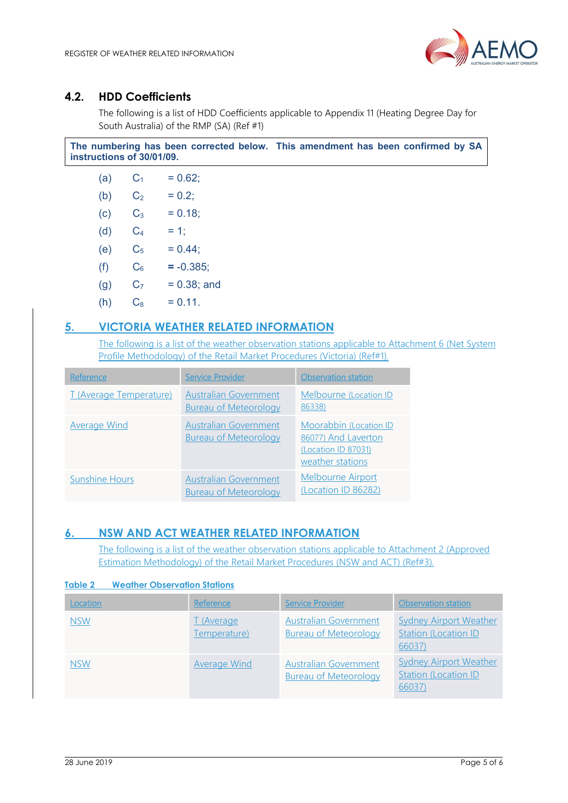

## 4.2. HDD Coefficients

The following is a list of HDD Coefficients applicable to Appendix 11 (Heating Degree Day for South Australia) of the RMP (SA) (Ref #1)

|                           | The numbering has been corrected below. This amendment has been confirmed by SA |
|---------------------------|---------------------------------------------------------------------------------|
| instructions of 30/01/09. |                                                                                 |

| (a) | $\mathrm{C}_1$ | $= 0.62$ ;    |
|-----|----------------|---------------|
| (b) | C2             | $= 0.2$ ;     |
| (c) | $\mathrm{C}_3$ | $= 0.18$      |
| (d) | $\rm{C}_4$     | $= 1$ ;       |
| (e) | C5             | $= 0.44$ ;    |
| (f) | $\mathrm{C}_6$ | $= -0.385;$   |
| (g) | C <sub>7</sub> | $= 0.38;$ and |
| (h) | $\rm{C}_8$     | $= 0.11.$     |

## 5. VICTORIA WEATHER RELATED INFORMATION

The following is a list of the weather observation stations applicable to Attachment 6 (Net System Profile Methodology) of the Retail Market Procedures (Victoria) (Ref#1).

| Reference                      | <b>Service Provider</b>                                      | Observation station                                                                      |
|--------------------------------|--------------------------------------------------------------|------------------------------------------------------------------------------------------|
| <b>T</b> (Average Temperature) | <b>Australian Government</b><br><b>Bureau of Meteorology</b> | Melbourne (Location ID<br>86338)                                                         |
| <b>Average Wind</b>            | <b>Australian Government</b><br><b>Bureau of Meteorology</b> | Moorabbin (Location ID<br>86077) And Laverton<br>(Location ID 87031)<br>weather stations |
| <b>Sunshine Hours</b>          | <b>Australian Government</b><br><b>Bureau of Meteorology</b> | <b>Melbourne Airport</b><br>(Location ID 86282)                                          |

## 6. NSW AND ACT WEATHER RELATED INFORMATION

The following is a list of the weather observation stations applicable to Attachment 2 (Approved Estimation Methodology) of the Retail Market Procedures (NSW and ACT) (Ref#3).

#### Table 2 Weather Observation Stations

| Location   | Reference                  | <b>Service Provider</b>                                      | <b>Observation station</b>                                              |
|------------|----------------------------|--------------------------------------------------------------|-------------------------------------------------------------------------|
| <b>NSW</b> | T (Average<br>Temperature) | <b>Australian Government</b><br><b>Bureau of Meteorology</b> | <b>Sydney Airport Weather</b><br><b>Station (Location ID)</b><br>66037) |
| <b>NSW</b> | <b>Average Wind</b>        | <b>Australian Government</b><br><b>Bureau of Meteorology</b> | <b>Sydney Airport Weather</b><br><b>Station (Location ID)</b><br>66037) |